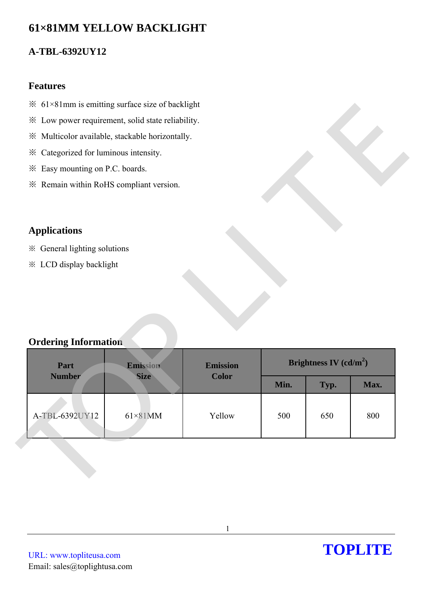# **61×81MM YELLOW BACKLIGHT**

## **A-TBL-6392UY12**

#### **Features**

- $\frac{1}{2}$  61×81mm is emitting surface size of backlight
- ※ Low power requirement, solid state reliability.
- ※ Multicolor available, stackable horizontally.
- ※ Categorized for luminous intensity.
- ※ Easy mounting on P.C. boards.
- ※ Remain within RoHS compliant version.

### **Applications**

- ※ General lighting solutions
- ※ LCD display backlight

### **Ordering Information**

|                                                 | * Low power requirement, solid state reliability. |                 |      |                          |      |
|-------------------------------------------------|---------------------------------------------------|-----------------|------|--------------------------|------|
| ※ Multicolor available, stackable horizontally. |                                                   |                 |      |                          |      |
| Categorized for luminous intensity.<br>፠        |                                                   |                 |      |                          |      |
| * Easy mounting on P.C. boards.                 |                                                   |                 |      |                          |      |
| * Remain within RoHS compliant version.         |                                                   |                 |      |                          |      |
|                                                 |                                                   |                 |      |                          |      |
| <b>Applications</b>                             |                                                   |                 |      |                          |      |
| ※ General lighting solutions                    |                                                   |                 |      |                          |      |
|                                                 |                                                   |                 |      |                          |      |
| <b>※ LCD display backlight</b>                  |                                                   |                 |      |                          |      |
|                                                 |                                                   |                 |      |                          |      |
|                                                 |                                                   |                 |      |                          |      |
|                                                 |                                                   |                 |      |                          |      |
|                                                 |                                                   |                 |      |                          |      |
|                                                 |                                                   |                 |      |                          |      |
| <b>Ordering Information</b>                     |                                                   |                 |      |                          |      |
| Part                                            | Emission                                          | <b>Emission</b> |      | Brightness IV $(cd/m^2)$ |      |
| <b>Number</b>                                   | <b>Size</b>                                       | <b>Color</b>    | Min. | Typ.                     | Max. |
|                                                 |                                                   |                 |      |                          |      |
| A-TBL-6392UY12                                  | $61\times81$ MM                                   | Yellow          | 500  | 650                      | 800  |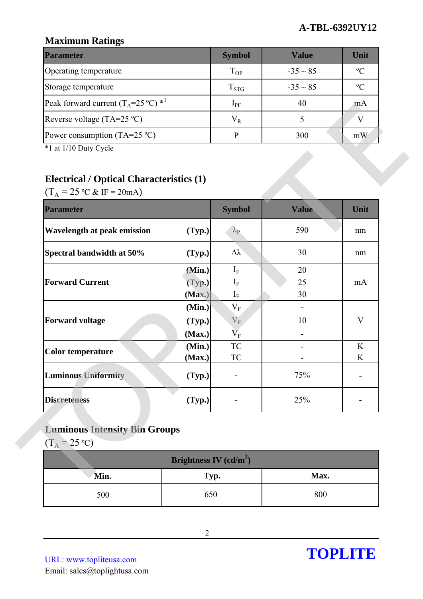### **Maximum Ratings**

| <b>Parameter</b>                                        | <b>Symbol</b> | Value         | Unit          |
|---------------------------------------------------------|---------------|---------------|---------------|
| Operating temperature                                   | $T_{OP}$      | $-35 \sim 85$ | $\mathcal{O}$ |
| Storage temperature                                     | $T_{STG}$     | $-35 \sim 85$ | $\mathcal{C}$ |
| Peak forward current $(T_A=25 \degree C)$ <sup>*1</sup> | $1_{\rm PF}$  | 40            | m A           |
| Reverse voltage (TA=25 $^{\circ}$ C)                    | $\rm V_R$     |               |               |
| Power consumption (TA=25 $^{\circ}$ C)                  |               | 300           | mW            |

## **Electrical / Optical Characteristics (1)**

| <b>Symbol</b><br>(Typ.)<br>$\lambda_{\rm P}$ | <b>Value</b><br>590                                                                     | Unit<br>nm           |
|----------------------------------------------|-----------------------------------------------------------------------------------------|----------------------|
|                                              |                                                                                         |                      |
| Δλ<br>(Typ.)                                 | 30                                                                                      | nm                   |
| $I_F$<br>(Min.)                              | 20                                                                                      |                      |
| (Typ.)<br>$I_F$                              | 25                                                                                      | mA                   |
|                                              |                                                                                         |                      |
|                                              | 10                                                                                      | V                    |
| (Max.)<br>$\rm V_F$                          |                                                                                         |                      |
| ${\rm TC}$<br>(Min.)                         |                                                                                         | K                    |
|                                              |                                                                                         | K                    |
| (Typ.)                                       | 75%                                                                                     |                      |
|                                              |                                                                                         |                      |
|                                              | $\mathbf{I}_{\rm F}$<br>(Max)<br>$V_F$<br>(Min.)<br>$\rm V_F$<br>(Typ.)<br>TC<br>(Max.) | 30<br>$\blacksquare$ |

## **Luminous Intensity Bin Groups**

| Brightness IV $(cd/m^2)$ |      |      |  |  |
|--------------------------|------|------|--|--|
| Min.                     | Typ. | Max. |  |  |
| 500                      | 650  | 800  |  |  |

URL: www.topliteusa.com Email: sales@toplightusa.com

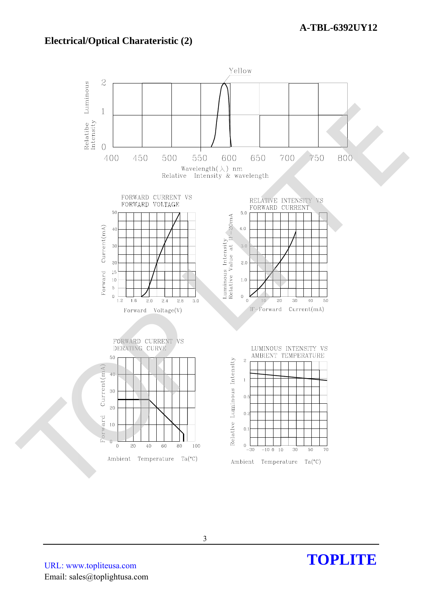#### **Electrical/Optical Charateristic (2)**



URL: www.topliteusa.com Email: sales@toplightusa.com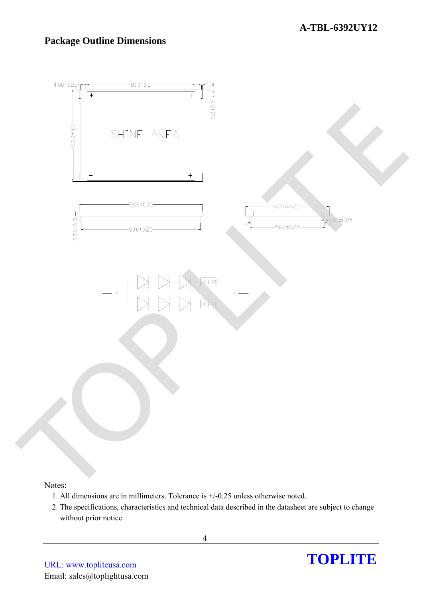### **Package Outline Dimensions**



#### Notes:

- 1. All dimensions are in millimeters. Tolerance is +/-0.25 unless otherwise noted.
- 2. The specifications, characteristics and technical data described in the datasheet are subject to change without prior notice.